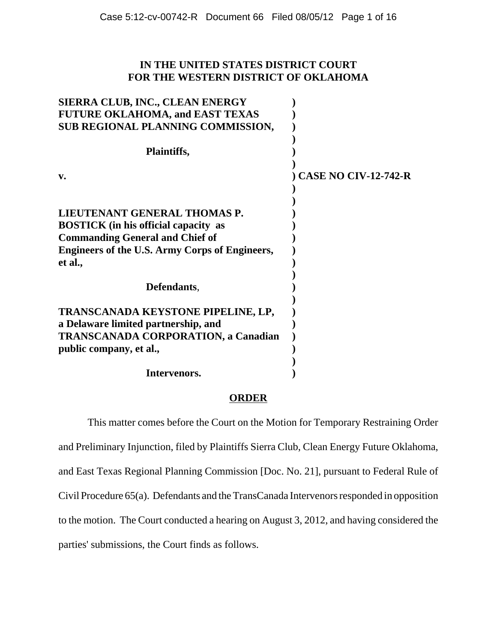# **IN THE UNITED STATES DISTRICT COURT FOR THE WESTERN DISTRICT OF OKLAHOMA**

| SIERRA CLUB, INC., CLEAN ENERGY<br><b>FUTURE OKLAHOMA, and EAST TEXAS</b> |                             |
|---------------------------------------------------------------------------|-----------------------------|
| SUB REGIONAL PLANNING COMMISSION,                                         |                             |
| Plaintiffs,                                                               |                             |
| V.                                                                        | <b>CASE NO CIV-12-742-R</b> |
|                                                                           |                             |
| LIEUTENANT GENERAL THOMAS P.                                              |                             |
| <b>BOSTICK</b> (in his official capacity as                               |                             |
| <b>Commanding General and Chief of</b>                                    |                             |
| <b>Engineers of the U.S. Army Corps of Engineers,</b><br>et al.,          |                             |
| Defendants,                                                               |                             |
|                                                                           |                             |
| TRANSCANADA KEYSTONE PIPELINE, LP,                                        |                             |
| a Delaware limited partnership, and                                       |                             |
| <b>TRANSCANADA CORPORATION, a Canadian</b>                                |                             |
| public company, et al.,                                                   |                             |
|                                                                           |                             |
| Intervenors.                                                              |                             |

## **ORDER**

This matter comes before the Court on the Motion for Temporary Restraining Order and Preliminary Injunction, filed by Plaintiffs Sierra Club, Clean Energy Future Oklahoma, and East Texas Regional Planning Commission [Doc. No. 21], pursuant to Federal Rule of Civil Procedure 65(a). Defendants and the TransCanada Intervenors responded in opposition to the motion. The Court conducted a hearing on August 3, 2012, and having considered the parties' submissions, the Court finds as follows.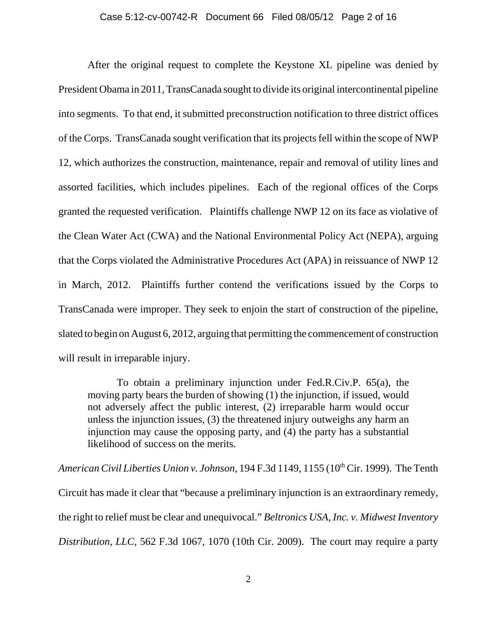After the original request to complete the Keystone XL pipeline was denied by President Obama in 2011, TransCanada sought to divide its original intercontinental pipeline into segments. To that end, it submitted preconstruction notification to three district offices of the Corps. TransCanada sought verification that its projects fell within the scope of NWP 12, which authorizes the construction, maintenance, repair and removal of utility lines and assorted facilities, which includes pipelines. Each of the regional offices of the Corps granted the requested verification. Plaintiffs challenge NWP 12 on its face as violative of the Clean Water Act (CWA) and the National Environmental Policy Act (NEPA), arguing that the Corps violated the Administrative Procedures Act (APA) in reissuance of NWP 12 in March, 2012. Plaintiffs further contend the verifications issued by the Corps to TransCanada were improper. They seek to enjoin the start of construction of the pipeline, slated to begin on August 6, 2012, arguing that permitting the commencement of construction will result in irreparable injury.

To obtain a preliminary injunction under Fed.R.Civ.P. 65(a), the moving party bears the burden of showing (1) the injunction, if issued, would not adversely affect the public interest, (2) irreparable harm would occur unless the injunction issues, (3) the threatened injury outweighs any harm an injunction may cause the opposing party, and (4) the party has a substantial likelihood of success on the merits.

*American Civil Liberties Union v. Johnson*, 194 F.3d 1149, 1155 (10<sup>th</sup> Cir. 1999). The Tenth Circuit has made it clear that "because a preliminary injunction is an extraordinary remedy, the right to relief must be clear and unequivocal." *Beltronics USA, Inc. v. Midwest Inventory Distribution*, *LLC*, 562 F.3d 1067, 1070 (10th Cir. 2009). The court may require a party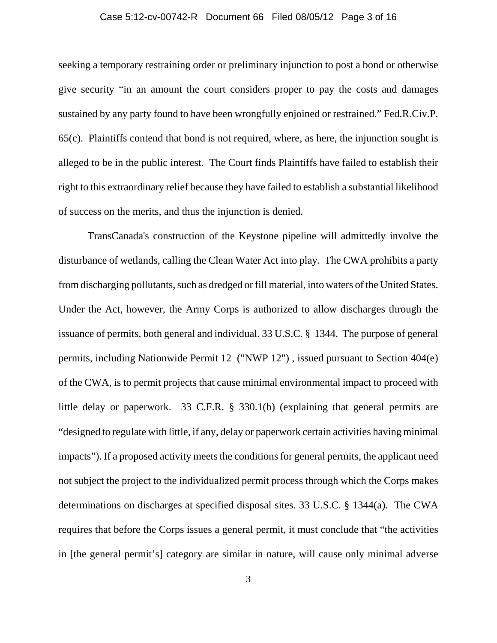### Case 5:12-cv-00742-R Document 66 Filed 08/05/12 Page 3 of 16

seeking a temporary restraining order or preliminary injunction to post a bond or otherwise give security "in an amount the court considers proper to pay the costs and damages sustained by any party found to have been wrongfully enjoined or restrained." Fed.R.Civ.P. 65(c). Plaintiffs contend that bond is not required, where, as here, the injunction sought is alleged to be in the public interest. The Court finds Plaintiffs have failed to establish their right to this extraordinary relief because they have failed to establish a substantial likelihood of success on the merits, and thus the injunction is denied.

TransCanada's construction of the Keystone pipeline will admittedly involve the disturbance of wetlands, calling the Clean Water Act into play. The CWA prohibits a party from discharging pollutants, such as dredged or fill material, into waters of the United States. Under the Act, however, the Army Corps is authorized to allow discharges through the issuance of permits, both general and individual. 33 U.S.C. § 1344. The purpose of general permits, including Nationwide Permit 12 ("NWP 12") , issued pursuant to Section 404(e) of the CWA, is to permit projects that cause minimal environmental impact to proceed with little delay or paperwork. 33 C.F.R. § 330.1(b) (explaining that general permits are "designed to regulate with little, if any, delay or paperwork certain activities having minimal impacts"). If a proposed activity meets the conditions for general permits, the applicant need not subject the project to the individualized permit process through which the Corps makes determinations on discharges at specified disposal sites. 33 U.S.C. § 1344(a). The CWA requires that before the Corps issues a general permit, it must conclude that "the activities in [the general permit's] category are similar in nature, will cause only minimal adverse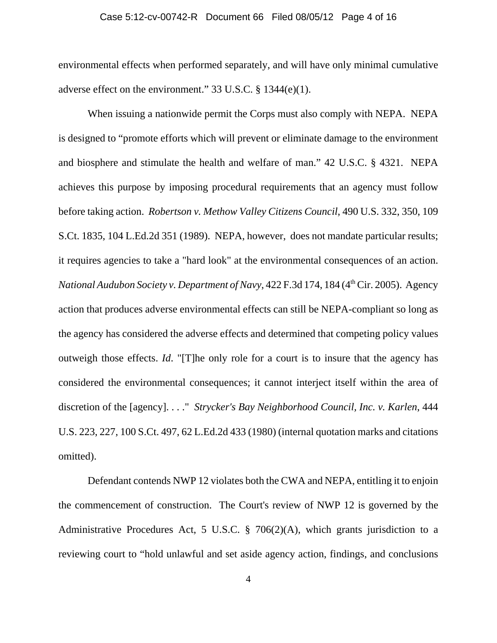#### Case 5:12-cv-00742-R Document 66 Filed 08/05/12 Page 4 of 16

environmental effects when performed separately, and will have only minimal cumulative adverse effect on the environment." 33 U.S.C. § 1344(e)(1).

When issuing a nationwide permit the Corps must also comply with NEPA. NEPA is designed to "promote efforts which will prevent or eliminate damage to the environment and biosphere and stimulate the health and welfare of man." 42 U.S.C. § 4321. NEPA achieves this purpose by imposing procedural requirements that an agency must follow before taking action. *Robertson v. Methow Valley Citizens Council*, 490 U.S. 332, 350, 109 S.Ct. 1835, 104 L.Ed.2d 351 (1989). NEPA, however, does not mandate particular results; it requires agencies to take a "hard look" at the environmental consequences of an action. *National Audubon Society v. Department of Navy*, 422 F.3d 174, 184 (4<sup>th</sup> Cir. 2005). Agency action that produces adverse environmental effects can still be NEPA-compliant so long as the agency has considered the adverse effects and determined that competing policy values outweigh those effects. *Id*. "[T]he only role for a court is to insure that the agency has considered the environmental consequences; it cannot interject itself within the area of discretion of the [agency]. . . ." *Strycker's Bay Neighborhood Council, Inc. v. Karlen*, 444 U.S. 223, 227, 100 S.Ct. 497, 62 L.Ed.2d 433 (1980) (internal quotation marks and citations omitted).

Defendant contends NWP 12 violates both the CWA and NEPA, entitling it to enjoin the commencement of construction. The Court's review of NWP 12 is governed by the Administrative Procedures Act, 5 U.S.C. § 706(2)(A), which grants jurisdiction to a reviewing court to "hold unlawful and set aside agency action, findings, and conclusions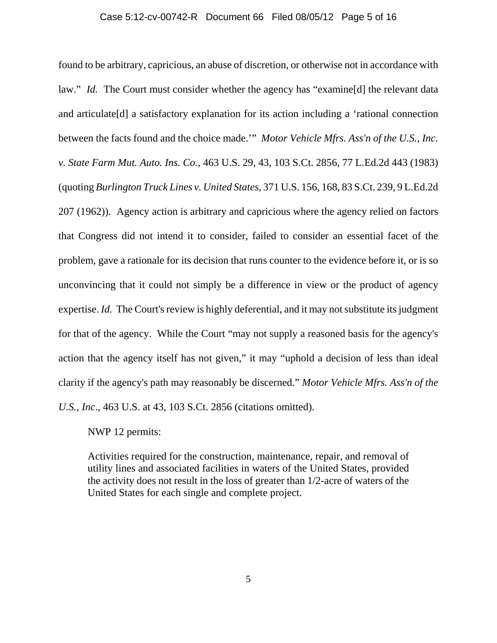#### Case 5:12-cv-00742-R Document 66 Filed 08/05/12 Page 5 of 16

found to be arbitrary, capricious, an abuse of discretion, or otherwise not in accordance with law." *Id.* The Court must consider whether the agency has "examine[d] the relevant data and articulate[d] a satisfactory explanation for its action including a 'rational connection between the facts found and the choice made.'" *Motor Vehicle Mfrs. Ass'n of the U.S., Inc. v. State Farm Mut. Auto. Ins. Co.*, 463 U.S. 29, 43, 103 S.Ct. 2856, 77 L.Ed.2d 443 (1983) (quoting *Burlington Truck Lines v. United States*, 371 U.S. 156, 168, 83 S.Ct. 239, 9 L.Ed.2d 207 (1962)). Agency action is arbitrary and capricious where the agency relied on factors that Congress did not intend it to consider, failed to consider an essential facet of the problem, gave a rationale for its decision that runs counter to the evidence before it, or is so unconvincing that it could not simply be a difference in view or the product of agency expertise. *Id.* The Court's review is highly deferential, and it may not substitute its judgment for that of the agency. While the Court "may not supply a reasoned basis for the agency's action that the agency itself has not given," it may "uphold a decision of less than ideal clarity if the agency's path may reasonably be discerned." *Motor Vehicle Mfrs. Ass'n of the U.S., Inc*., 463 U.S. at 43, 103 S.Ct. 2856 (citations omitted).

NWP 12 permits:

Activities required for the construction, maintenance, repair, and removal of utility lines and associated facilities in waters of the United States, provided the activity does not result in the loss of greater than 1/2-acre of waters of the United States for each single and complete project.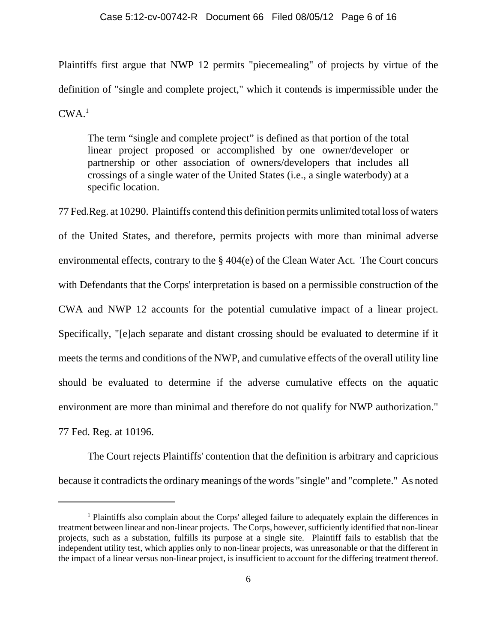Plaintiffs first argue that NWP 12 permits "piecemealing" of projects by virtue of the definition of "single and complete project," which it contends is impermissible under the  $CWA<sup>1</sup>$ 

 The term "single and complete project" is defined as that portion of the total linear project proposed or accomplished by one owner/developer or partnership or other association of owners/developers that includes all crossings of a single water of the United States (i.e., a single waterbody) at a specific location.

77 Fed.Reg. at 10290. Plaintiffs contend this definition permits unlimited total loss of waters of the United States, and therefore, permits projects with more than minimal adverse environmental effects, contrary to the § 404(e) of the Clean Water Act. The Court concurs with Defendants that the Corps' interpretation is based on a permissible construction of the CWA and NWP 12 accounts for the potential cumulative impact of a linear project. Specifically, "[e]ach separate and distant crossing should be evaluated to determine if it meets the terms and conditions of the NWP, and cumulative effects of the overall utility line should be evaluated to determine if the adverse cumulative effects on the aquatic environment are more than minimal and therefore do not qualify for NWP authorization." 77 Fed. Reg. at 10196.

The Court rejects Plaintiffs' contention that the definition is arbitrary and capricious because it contradicts the ordinary meanings of the words "single" and "complete." As noted

<sup>&</sup>lt;sup>1</sup> Plaintiffs also complain about the Corps' alleged failure to adequately explain the differences in treatment between linear and non-linear projects. The Corps, however, sufficiently identified that non-linear projects, such as a substation, fulfills its purpose at a single site. Plaintiff fails to establish that the independent utility test, which applies only to non-linear projects, was unreasonable or that the different in the impact of a linear versus non-linear project, is insufficient to account for the differing treatment thereof.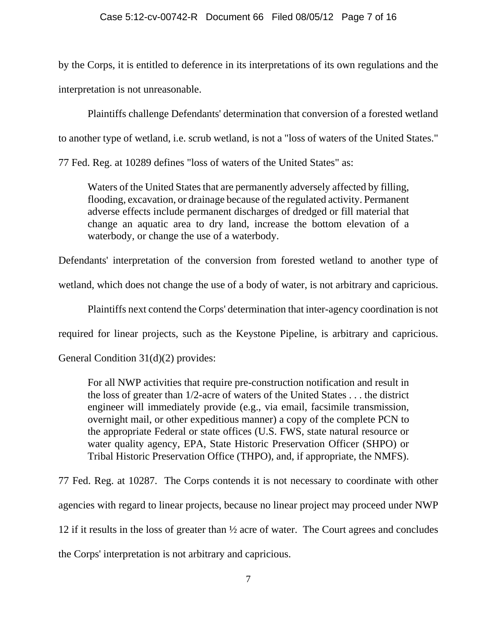by the Corps, it is entitled to deference in its interpretations of its own regulations and the interpretation is not unreasonable.

Plaintiffs challenge Defendants' determination that conversion of a forested wetland to another type of wetland, i.e. scrub wetland, is not a "loss of waters of the United States."

77 Fed. Reg. at 10289 defines "loss of waters of the United States" as:

Waters of the United States that are permanently adversely affected by filling, flooding, excavation, or drainage because of the regulated activity. Permanent adverse effects include permanent discharges of dredged or fill material that change an aquatic area to dry land, increase the bottom elevation of a waterbody, or change the use of a waterbody.

Defendants' interpretation of the conversion from forested wetland to another type of

wetland, which does not change the use of a body of water, is not arbitrary and capricious.

Plaintiffs next contend the Corps' determination that inter-agency coordination is not

required for linear projects, such as the Keystone Pipeline, is arbitrary and capricious.

General Condition 31(d)(2) provides:

For all NWP activities that require pre-construction notification and result in the loss of greater than 1/2-acre of waters of the United States . . . the district engineer will immediately provide (e.g., via email, facsimile transmission, overnight mail, or other expeditious manner) a copy of the complete PCN to the appropriate Federal or state offices (U.S. FWS, state natural resource or water quality agency, EPA, State Historic Preservation Officer (SHPO) or Tribal Historic Preservation Office (THPO), and, if appropriate, the NMFS).

77 Fed. Reg. at 10287. The Corps contends it is not necessary to coordinate with other agencies with regard to linear projects, because no linear project may proceed under NWP 12 if it results in the loss of greater than ½ acre of water. The Court agrees and concludes the Corps' interpretation is not arbitrary and capricious.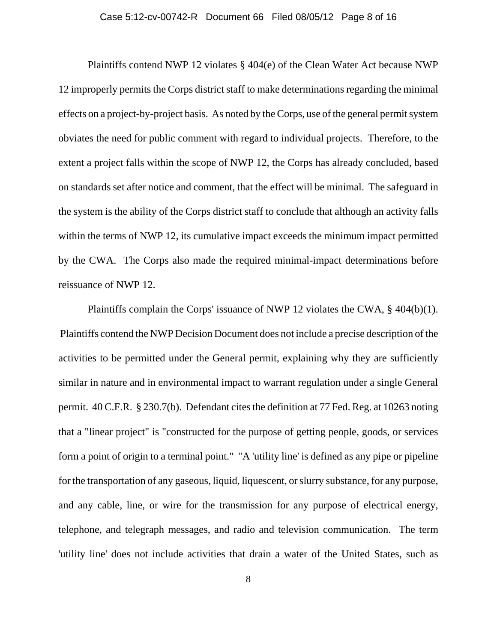#### Case 5:12-cv-00742-R Document 66 Filed 08/05/12 Page 8 of 16

Plaintiffs contend NWP 12 violates § 404(e) of the Clean Water Act because NWP 12 improperly permits the Corps district staff to make determinations regarding the minimal effects on a project-by-project basis. As noted by the Corps, use of the general permit system obviates the need for public comment with regard to individual projects. Therefore, to the extent a project falls within the scope of NWP 12, the Corps has already concluded, based on standards set after notice and comment, that the effect will be minimal. The safeguard in the system is the ability of the Corps district staff to conclude that although an activity falls within the terms of NWP 12, its cumulative impact exceeds the minimum impact permitted by the CWA. The Corps also made the required minimal-impact determinations before reissuance of NWP 12.

Plaintiffs complain the Corps' issuance of NWP 12 violates the CWA, § 404(b)(1). Plaintiffs contend the NWP Decision Document does not include a precise description of the activities to be permitted under the General permit, explaining why they are sufficiently similar in nature and in environmental impact to warrant regulation under a single General permit. 40 C.F.R. § 230.7(b). Defendant cites the definition at 77 Fed. Reg. at 10263 noting that a "linear project" is "constructed for the purpose of getting people, goods, or services form a point of origin to a terminal point." "A 'utility line' is defined as any pipe or pipeline for the transportation of any gaseous, liquid, liquescent, or slurry substance, for any purpose, and any cable, line, or wire for the transmission for any purpose of electrical energy, telephone, and telegraph messages, and radio and television communication. The term 'utility line' does not include activities that drain a water of the United States, such as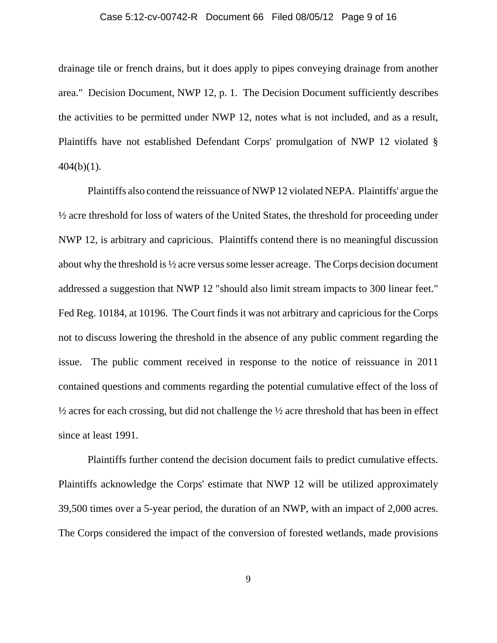#### Case 5:12-cv-00742-R Document 66 Filed 08/05/12 Page 9 of 16

drainage tile or french drains, but it does apply to pipes conveying drainage from another area." Decision Document, NWP 12, p. 1. The Decision Document sufficiently describes the activities to be permitted under NWP 12, notes what is not included, and as a result, Plaintiffs have not established Defendant Corps' promulgation of NWP 12 violated §  $404(b)(1)$ .

Plaintiffs also contend the reissuance of NWP 12 violated NEPA. Plaintiffs' argue the ½ acre threshold for loss of waters of the United States, the threshold for proceeding under NWP 12, is arbitrary and capricious. Plaintiffs contend there is no meaningful discussion about why the threshold is ½ acre versus some lesser acreage. The Corps decision document addressed a suggestion that NWP 12 "should also limit stream impacts to 300 linear feet." Fed Reg. 10184, at 10196. The Court finds it was not arbitrary and capricious for the Corps not to discuss lowering the threshold in the absence of any public comment regarding the issue. The public comment received in response to the notice of reissuance in 2011 contained questions and comments regarding the potential cumulative effect of the loss of  $\frac{1}{2}$  acres for each crossing, but did not challenge the  $\frac{1}{2}$  acre threshold that has been in effect since at least 1991.

Plaintiffs further contend the decision document fails to predict cumulative effects. Plaintiffs acknowledge the Corps' estimate that NWP 12 will be utilized approximately 39,500 times over a 5-year period, the duration of an NWP, with an impact of 2,000 acres. The Corps considered the impact of the conversion of forested wetlands, made provisions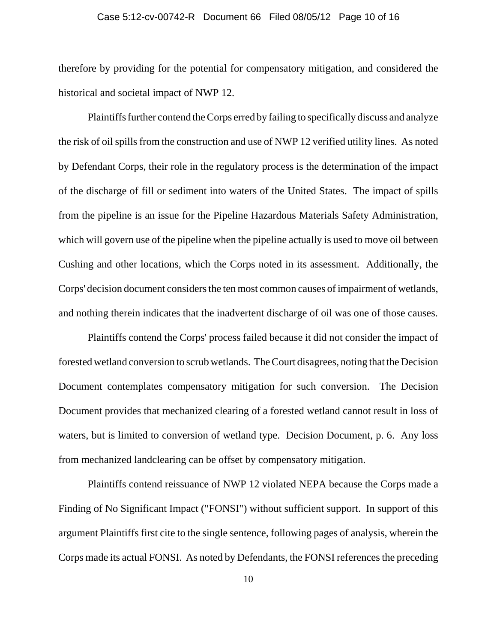therefore by providing for the potential for compensatory mitigation, and considered the historical and societal impact of NWP 12.

Plaintiffs further contend the Corps erred by failing to specifically discuss and analyze the risk of oil spills from the construction and use of NWP 12 verified utility lines. As noted by Defendant Corps, their role in the regulatory process is the determination of the impact of the discharge of fill or sediment into waters of the United States. The impact of spills from the pipeline is an issue for the Pipeline Hazardous Materials Safety Administration, which will govern use of the pipeline when the pipeline actually is used to move oil between Cushing and other locations, which the Corps noted in its assessment. Additionally, the Corps' decision document considers the ten most common causes of impairment of wetlands, and nothing therein indicates that the inadvertent discharge of oil was one of those causes.

Plaintiffs contend the Corps' process failed because it did not consider the impact of forested wetland conversion to scrub wetlands. The Court disagrees, noting that the Decision Document contemplates compensatory mitigation for such conversion. The Decision Document provides that mechanized clearing of a forested wetland cannot result in loss of waters, but is limited to conversion of wetland type. Decision Document, p. 6. Any loss from mechanized landclearing can be offset by compensatory mitigation.

Plaintiffs contend reissuance of NWP 12 violated NEPA because the Corps made a Finding of No Significant Impact ("FONSI") without sufficient support. In support of this argument Plaintiffs first cite to the single sentence, following pages of analysis, wherein the Corps made its actual FONSI. As noted by Defendants, the FONSI references the preceding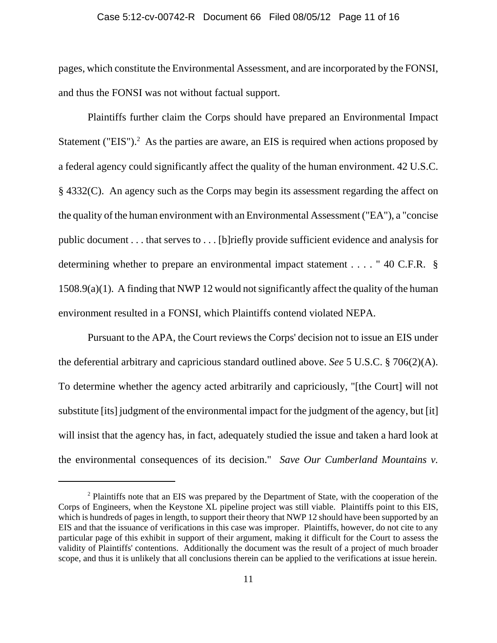pages, which constitute the Environmental Assessment, and are incorporated by the FONSI, and thus the FONSI was not without factual support.

Plaintiffs further claim the Corps should have prepared an Environmental Impact Statement ("EIS"). $^2$  As the parties are aware, an EIS is required when actions proposed by a federal agency could significantly affect the quality of the human environment. 42 U.S.C. § 4332(C). An agency such as the Corps may begin its assessment regarding the affect on the quality of the human environment with an Environmental Assessment ("EA"), a "concise public document . . . that serves to . . . [b]riefly provide sufficient evidence and analysis for determining whether to prepare an environmental impact statement . . . . " 40 C.F.R. § 1508.9(a)(1). A finding that NWP 12 would not significantly affect the quality of the human environment resulted in a FONSI, which Plaintiffs contend violated NEPA.

Pursuant to the APA, the Court reviews the Corps' decision not to issue an EIS under the deferential arbitrary and capricious standard outlined above. *See* 5 U.S.C. § 706(2)(A). To determine whether the agency acted arbitrarily and capriciously, "[the Court] will not substitute [its] judgment of the environmental impact for the judgment of the agency, but [it] will insist that the agency has, in fact, adequately studied the issue and taken a hard look at the environmental consequences of its decision." *Save Our Cumberland Mountains v.*

<sup>&</sup>lt;sup>2</sup> Plaintiffs note that an EIS was prepared by the Department of State, with the cooperation of the Corps of Engineers, when the Keystone XL pipeline project was still viable. Plaintiffs point to this EIS, which is hundreds of pages in length, to support their theory that NWP 12 should have been supported by an EIS and that the issuance of verifications in this case was improper. Plaintiffs, however, do not cite to any particular page of this exhibit in support of their argument, making it difficult for the Court to assess the validity of Plaintiffs' contentions. Additionally the document was the result of a project of much broader scope, and thus it is unlikely that all conclusions therein can be applied to the verifications at issue herein.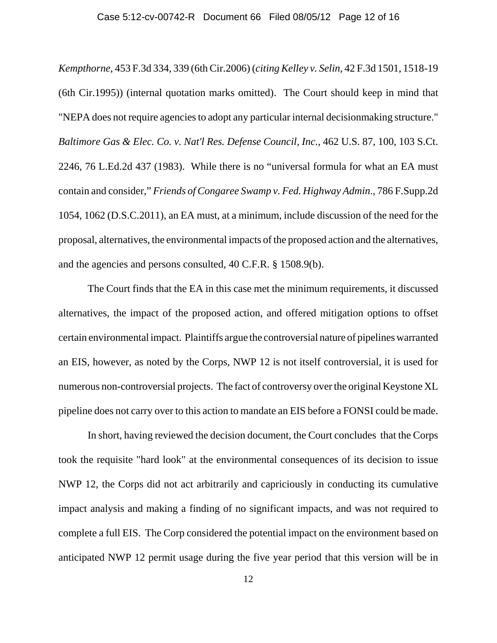*Kempthorne*, 453 F.3d 334, 339 (6th Cir.2006) (*citing Kelley v. Selin*, 42 F.3d 1501, 1518-19 (6th Cir.1995)) (internal quotation marks omitted). The Court should keep in mind that "NEPA does not require agencies to adopt any particular internal decisionmaking structure." *Baltimore Gas & Elec. Co. v. Nat'l Res. Defense Council, Inc.*, 462 U.S. 87, 100, 103 S.Ct. 2246, 76 L.Ed.2d 437 (1983). While there is no "universal formula for what an EA must contain and consider," *Friends of Congaree Swamp v. Fed. Highway Admin*., 786 F.Supp.2d 1054, 1062 (D.S.C.2011), an EA must, at a minimum, include discussion of the need for the proposal, alternatives, the environmental impacts of the proposed action and the alternatives, and the agencies and persons consulted, 40 C.F.R. § 1508.9(b).

The Court finds that the EA in this case met the minimum requirements, it discussed alternatives, the impact of the proposed action, and offered mitigation options to offset certain environmental impact. Plaintiffs argue the controversial nature of pipelines warranted an EIS, however, as noted by the Corps, NWP 12 is not itself controversial, it is used for numerous non-controversial projects. The fact of controversy over the original Keystone XL pipeline does not carry over to this action to mandate an EIS before a FONSI could be made.

In short, having reviewed the decision document, the Court concludes that the Corps took the requisite "hard look" at the environmental consequences of its decision to issue NWP 12, the Corps did not act arbitrarily and capriciously in conducting its cumulative impact analysis and making a finding of no significant impacts, and was not required to complete a full EIS. The Corp considered the potential impact on the environment based on anticipated NWP 12 permit usage during the five year period that this version will be in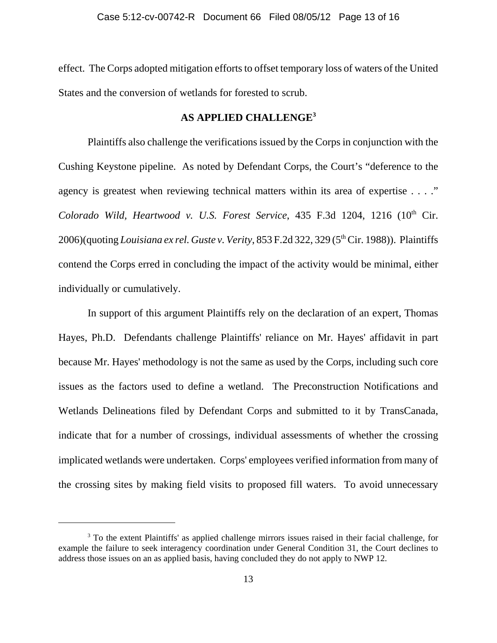effect. The Corps adopted mitigation efforts to offset temporary loss of waters of the United States and the conversion of wetlands for forested to scrub.

## **AS APPLIED CHALLENGE3**

Plaintiffs also challenge the verifications issued by the Corps in conjunction with the Cushing Keystone pipeline. As noted by Defendant Corps, the Court's "deference to the agency is greatest when reviewing technical matters within its area of expertise . . . ." *Colorado Wild, Heartwood v. U.S. Forest Service*, 435 F.3d 1204, 1216 (10th Cir. 2006)(quoting *Louisiana ex rel. Guste v. Verity*, 853 F.2d 322, 329 (5<sup>th</sup> Cir. 1988)). Plaintiffs contend the Corps erred in concluding the impact of the activity would be minimal, either individually or cumulatively.

In support of this argument Plaintiffs rely on the declaration of an expert, Thomas Hayes, Ph.D. Defendants challenge Plaintiffs' reliance on Mr. Hayes' affidavit in part because Mr. Hayes' methodology is not the same as used by the Corps, including such core issues as the factors used to define a wetland. The Preconstruction Notifications and Wetlands Delineations filed by Defendant Corps and submitted to it by TransCanada, indicate that for a number of crossings, individual assessments of whether the crossing implicated wetlands were undertaken. Corps' employees verified information from many of the crossing sites by making field visits to proposed fill waters. To avoid unnecessary

<sup>&</sup>lt;sup>3</sup> To the extent Plaintiffs' as applied challenge mirrors issues raised in their facial challenge, for example the failure to seek interagency coordination under General Condition 31, the Court declines to address those issues on an as applied basis, having concluded they do not apply to NWP 12.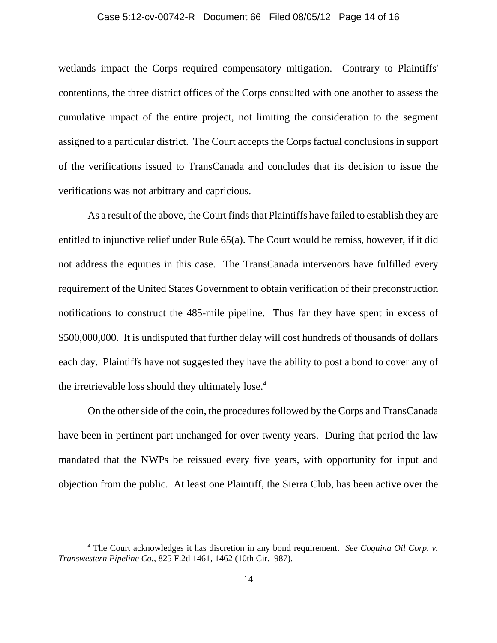#### Case 5:12-cv-00742-R Document 66 Filed 08/05/12 Page 14 of 16

wetlands impact the Corps required compensatory mitigation. Contrary to Plaintiffs' contentions, the three district offices of the Corps consulted with one another to assess the cumulative impact of the entire project, not limiting the consideration to the segment assigned to a particular district. The Court accepts the Corps factual conclusions in support of the verifications issued to TransCanada and concludes that its decision to issue the verifications was not arbitrary and capricious.

As a result of the above, the Court finds that Plaintiffs have failed to establish they are entitled to injunctive relief under Rule 65(a). The Court would be remiss, however, if it did not address the equities in this case. The TransCanada intervenors have fulfilled every requirement of the United States Government to obtain verification of their preconstruction notifications to construct the 485-mile pipeline. Thus far they have spent in excess of \$500,000,000. It is undisputed that further delay will cost hundreds of thousands of dollars each day. Plaintiffs have not suggested they have the ability to post a bond to cover any of the irretrievable loss should they ultimately lose.<sup>4</sup>

On the other side of the coin, the procedures followed by the Corps and TransCanada have been in pertinent part unchanged for over twenty years. During that period the law mandated that the NWPs be reissued every five years, with opportunity for input and objection from the public. At least one Plaintiff, the Sierra Club, has been active over the

<sup>4</sup> The Court acknowledges it has discretion in any bond requirement. *See Coquina Oil Corp. v. Transwestern Pipeline Co.*, 825 F.2d 1461, 1462 (10th Cir.1987).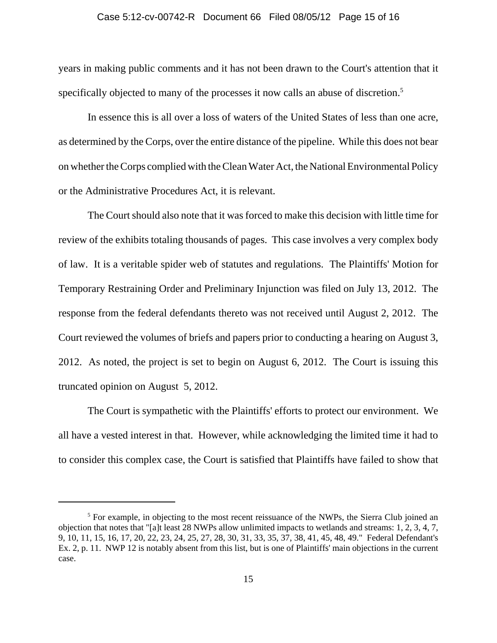years in making public comments and it has not been drawn to the Court's attention that it specifically objected to many of the processes it now calls an abuse of discretion.<sup>5</sup>

In essence this is all over a loss of waters of the United States of less than one acre, as determined by the Corps, over the entire distance of the pipeline. While this does not bear on whether the Corps complied with the Clean Water Act, the National Environmental Policy or the Administrative Procedures Act, it is relevant.

The Court should also note that it was forced to make this decision with little time for review of the exhibits totaling thousands of pages. This case involves a very complex body of law. It is a veritable spider web of statutes and regulations. The Plaintiffs' Motion for Temporary Restraining Order and Preliminary Injunction was filed on July 13, 2012. The response from the federal defendants thereto was not received until August 2, 2012. The Court reviewed the volumes of briefs and papers prior to conducting a hearing on August 3, 2012. As noted, the project is set to begin on August 6, 2012. The Court is issuing this truncated opinion on August 5, 2012.

The Court is sympathetic with the Plaintiffs' efforts to protect our environment. We all have a vested interest in that. However, while acknowledging the limited time it had to to consider this complex case, the Court is satisfied that Plaintiffs have failed to show that

<sup>&</sup>lt;sup>5</sup> For example, in objecting to the most recent reissuance of the NWPs, the Sierra Club joined an objection that notes that "[a]t least 28 NWPs allow unlimited impacts to wetlands and streams: 1, 2, 3, 4, 7, 9, 10, 11, 15, 16, 17, 20, 22, 23, 24, 25, 27, 28, 30, 31, 33, 35, 37, 38, 41, 45, 48, 49." Federal Defendant's Ex. 2, p. 11. NWP 12 is notably absent from this list, but is one of Plaintiffs' main objections in the current case.